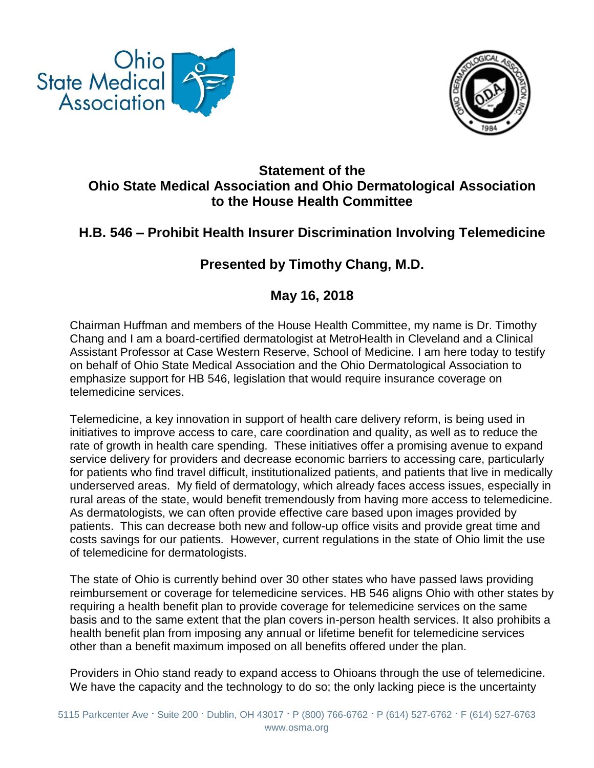



## **Statement of the Ohio State Medical Association and Ohio Dermatological Association to the House Health Committee**

## **H.B. 546 – Prohibit Health Insurer Discrimination Involving Telemedicine**

## **Presented by Timothy Chang, M.D.**

## **May 16, 2018**

Chairman Huffman and members of the House Health Committee, my name is Dr. Timothy Chang and I am a board-certified dermatologist at MetroHealth in Cleveland and a Clinical Assistant Professor at Case Western Reserve, School of Medicine. I am here today to testify on behalf of Ohio State Medical Association and the Ohio Dermatological Association to emphasize support for HB 546, legislation that would require insurance coverage on telemedicine services.

Telemedicine, a key innovation in support of health care delivery reform, is being used in initiatives to improve access to care, care coordination and quality, as well as to reduce the rate of growth in health care spending. These initiatives offer a promising avenue to expand service delivery for providers and decrease economic barriers to accessing care, particularly for patients who find travel difficult, institutionalized patients, and patients that live in medically underserved areas. My field of dermatology, which already faces access issues, especially in rural areas of the state, would benefit tremendously from having more access to telemedicine. As dermatologists, we can often provide effective care based upon images provided by patients. This can decrease both new and follow-up office visits and provide great time and costs savings for our patients. However, current regulations in the state of Ohio limit the use of telemedicine for dermatologists.

The state of Ohio is currently behind over 30 other states who have passed laws providing reimbursement or coverage for telemedicine services. HB 546 aligns Ohio with other states by requiring a health benefit plan to provide coverage for telemedicine services on the same basis and to the same extent that the plan covers in-person health services. It also prohibits a health benefit plan from imposing any annual or lifetime benefit for telemedicine services other than a benefit maximum imposed on all benefits offered under the plan.

Providers in Ohio stand ready to expand access to Ohioans through the use of telemedicine. We have the capacity and the technology to do so; the only lacking piece is the uncertainty